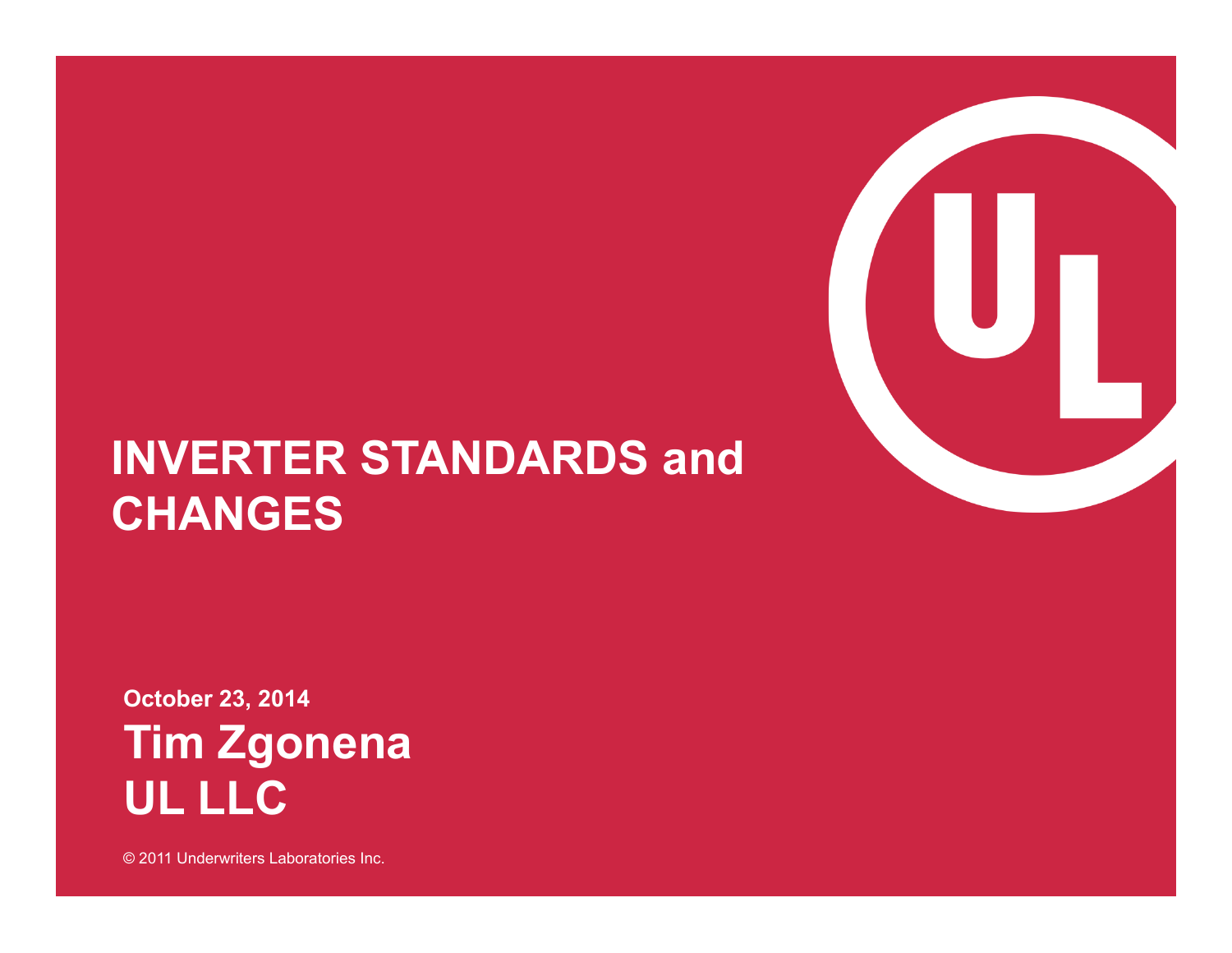### **INVERTER STANDARDS and CHANGES**

**October 23, 2014 Tim Zgonena UL LLC** 

© 2011 Underwriters Laboratories Inc.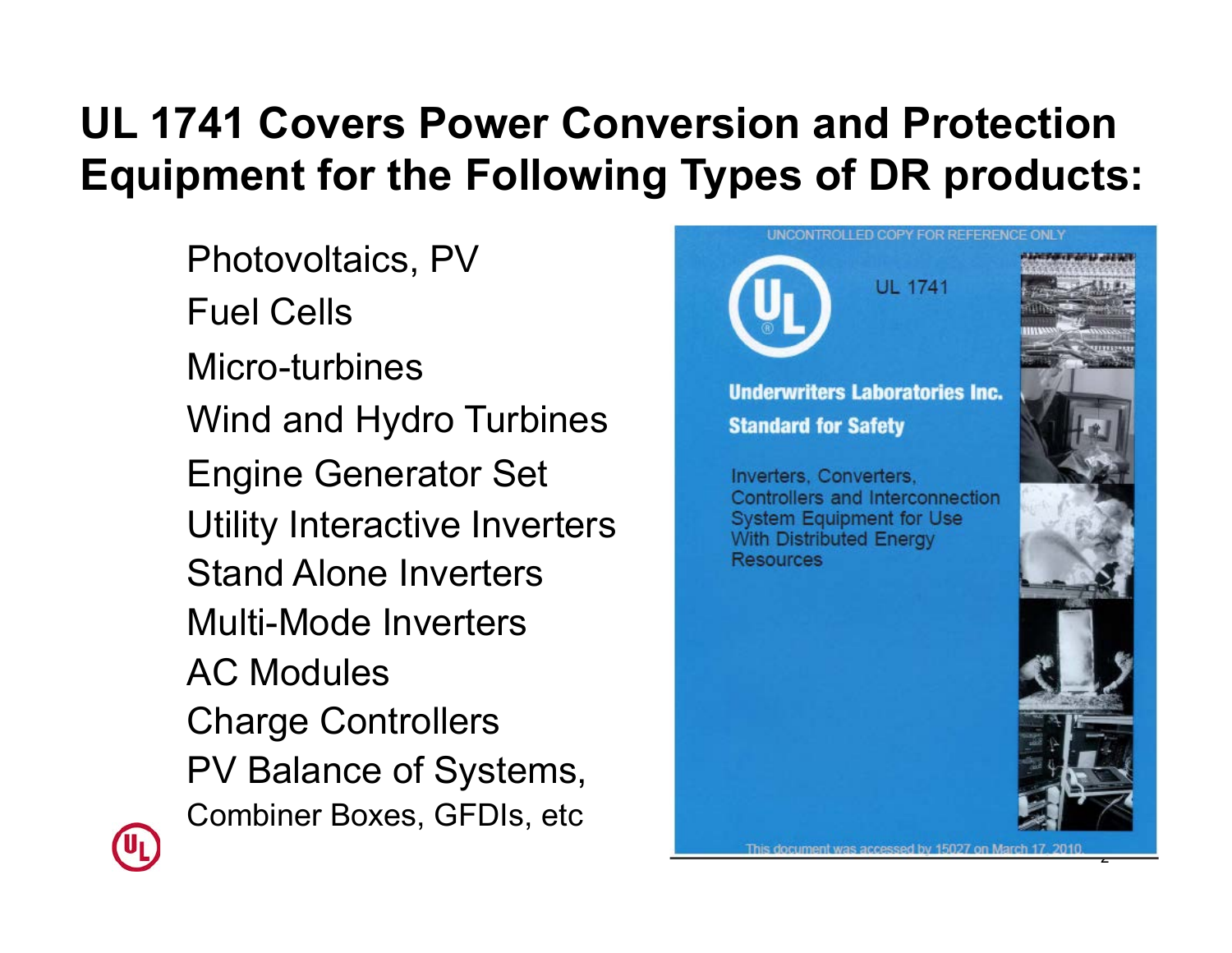### **UL 1741 Covers Power Conversion and Protection Equipment for the Following Types of DR products:**

Photovoltaics, PV Fuel Cells Micro-turbines Wind and Hydro Turbines Engine Generator Set Utility Interactive Inverters Stand Alone Inverters Multi-Mode Inverters AC Modules Charge Controllers PV Balance of Systems, Combiner Boxes, GFDIs, etc





2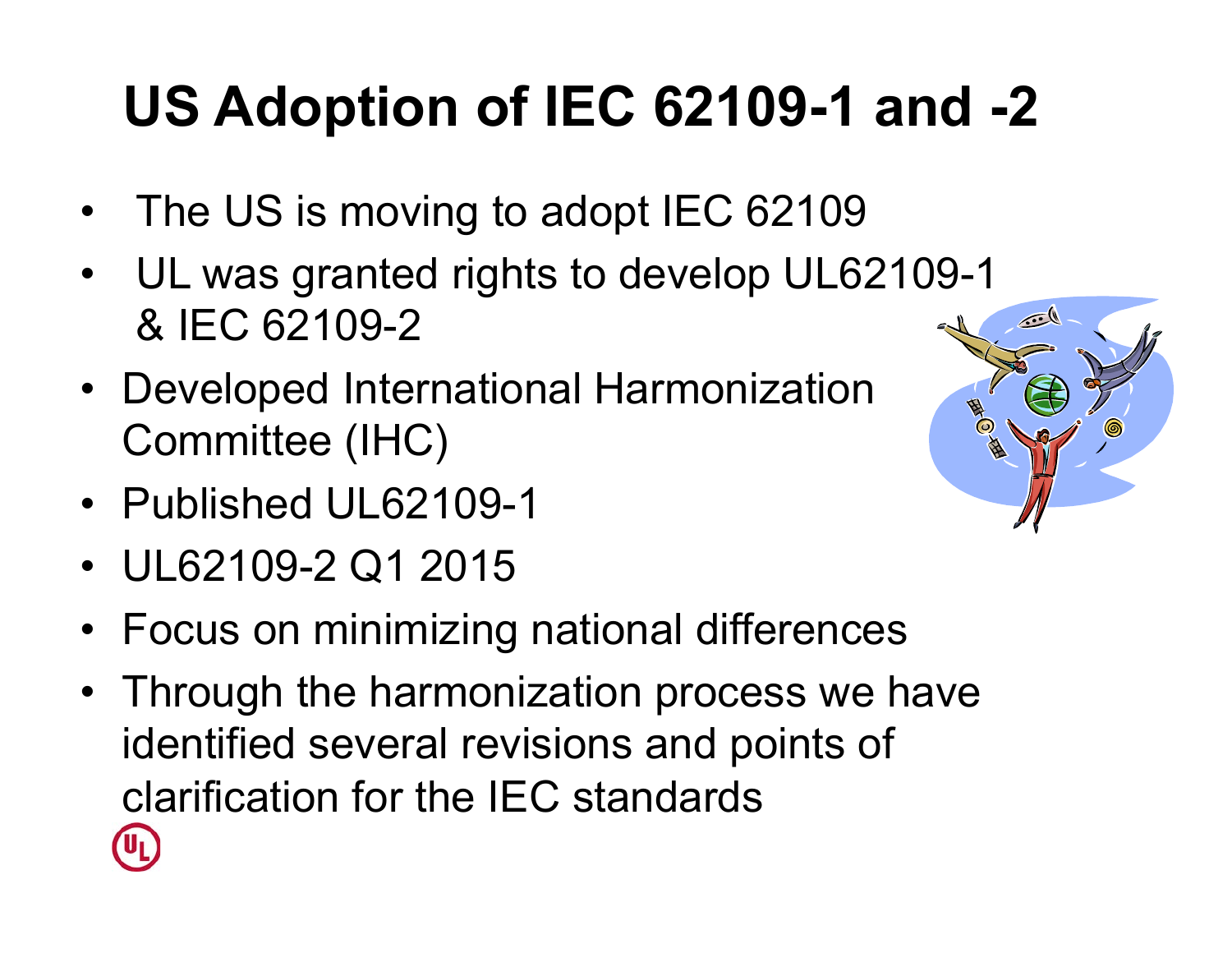### **US Adoption of IEC 62109-1 and -2**

- The US is moving to adopt IEC 62109
- UL was granted rights to develop UL62109-1 & IEC 62109-2
- Developed International Harmonization Committee (IHC)
- Published UL62109-1
- UL62109-2 Q1 2015
- Focus on minimizing national differences
- Through the harmonization process we have identified several revisions and points of clarification for the IEC standards

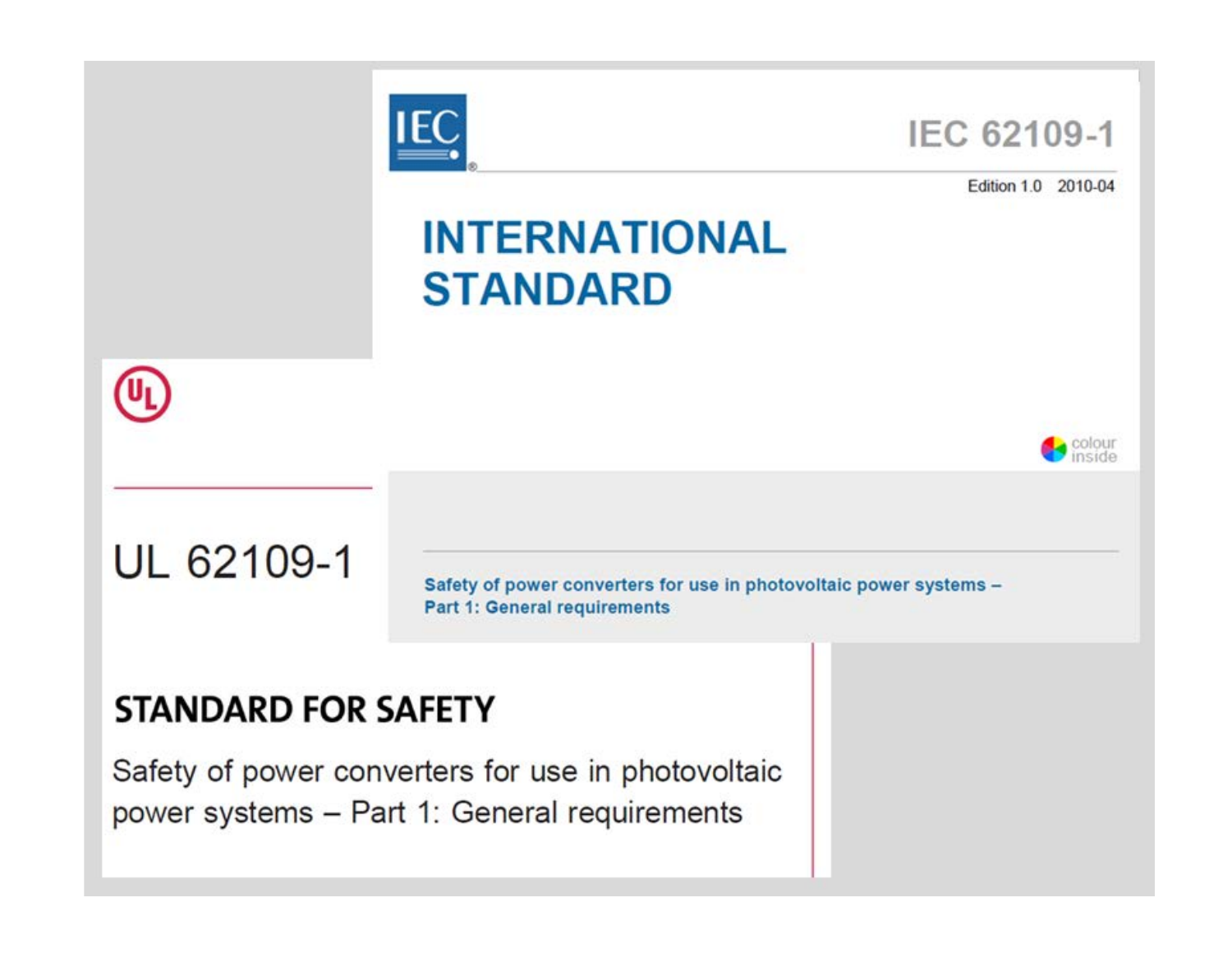

#### **STANDARD FOR SAFETY**

Safety of power converters for use in photovoltaic power systems - Part 1: General requirements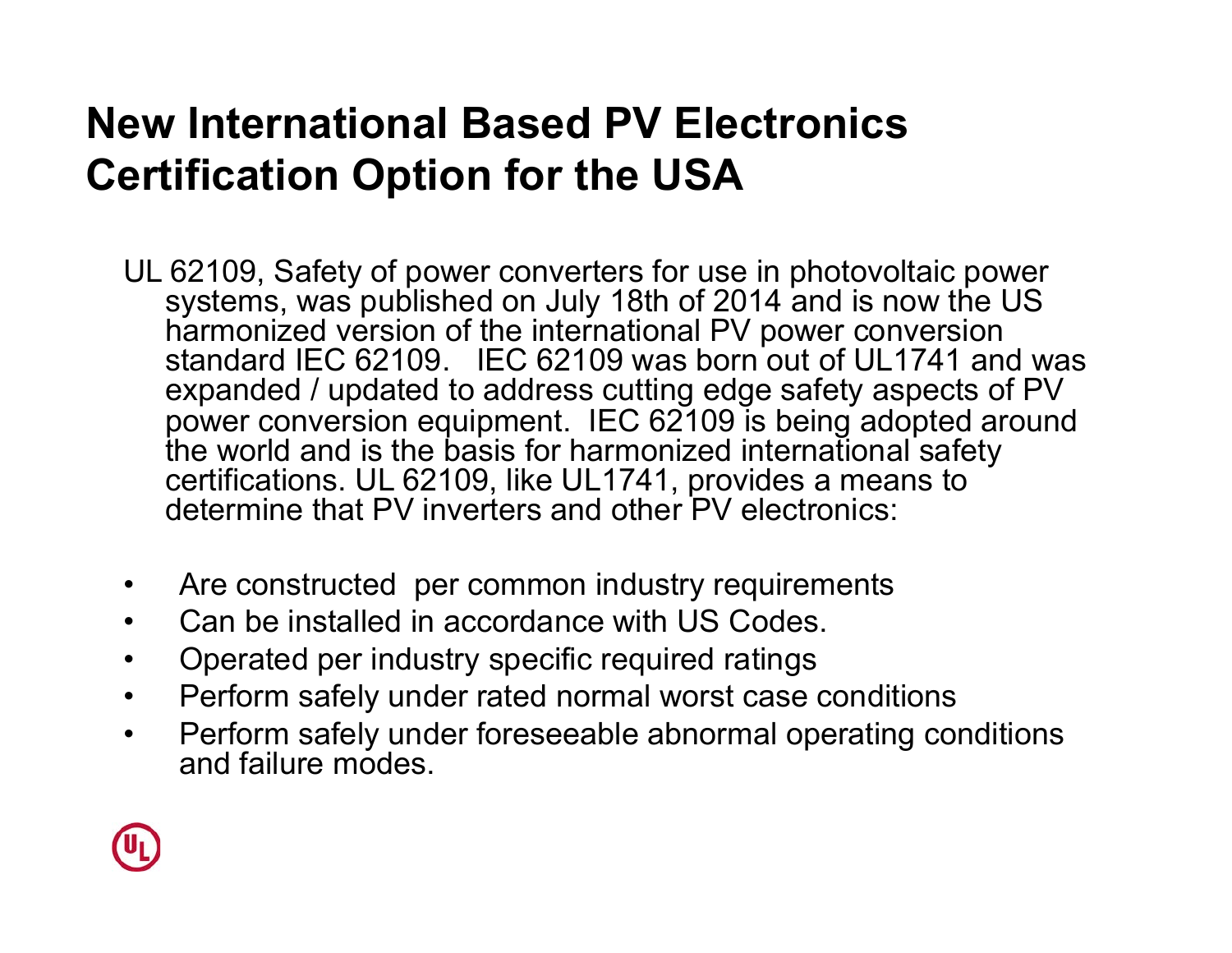### **New International Based PV Electronics Certification Option for the USA**

- UL 62109, Safety of power converters for use in photovoltaic power systems, was published on July 18th of 2014 and is now the US harmonized version of the international PV power conversion standard IEC 62109. IEC 62109 was born out of UL1741 and was expanded / updated to address cutting edge safety aspects of PV power conversion equipment. IEC 62109 is being adopted around the world and is the basis for harmonized international safety certifications. UL 62109, like UL1741, provides a means to determine that PV inverters and other PV electronics:
- Are constructed per common industry requirements
- Can be installed in accordance with US Codes.
- Operated per industry specific required ratings
- Perform safely under rated normal worst case conditions
- Perform safely under foreseeable abnormal operating conditions and failure modes.

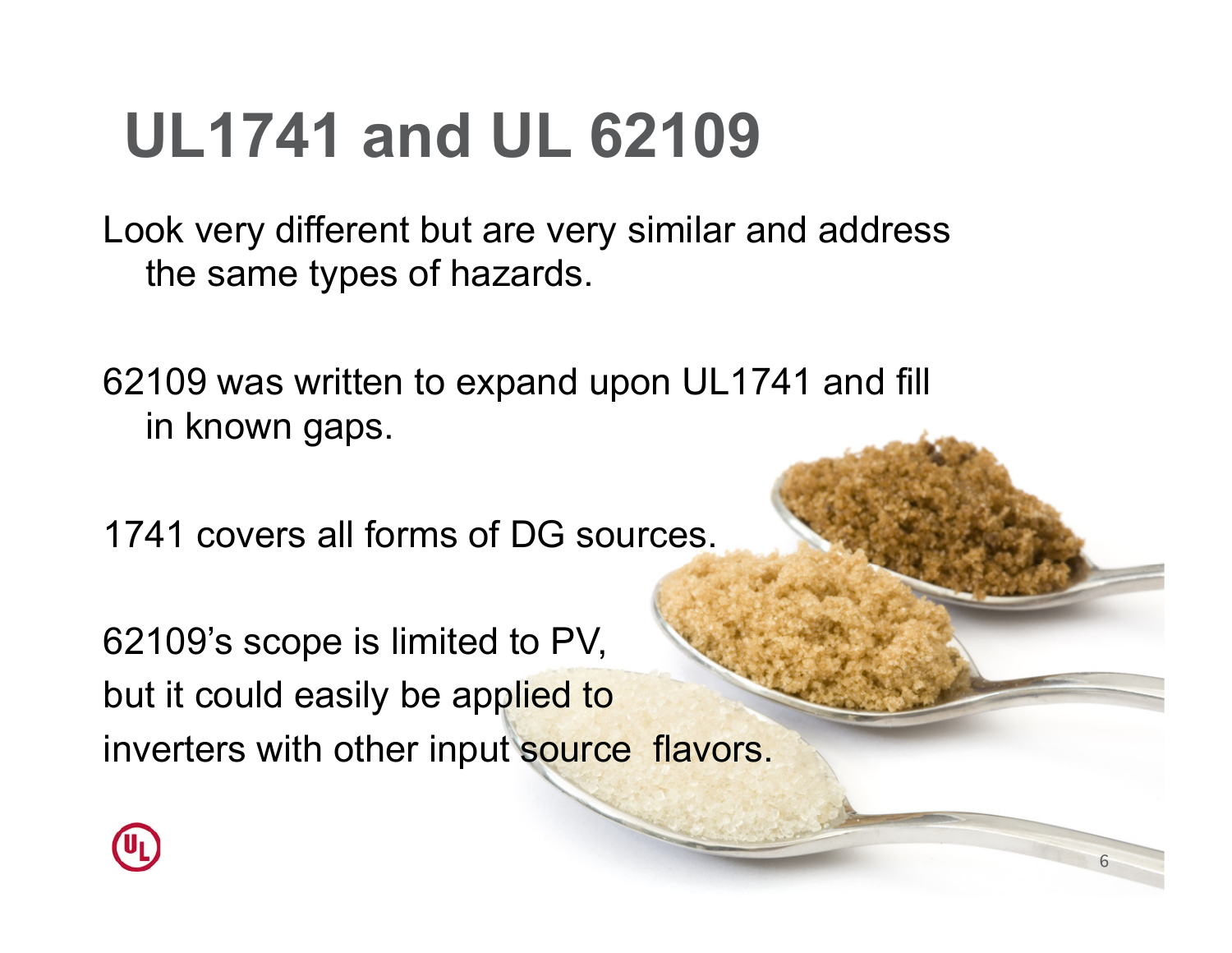## **UL1741 and UL 62109**

Look very different but are very similar and address the same types of hazards.

62109 was written to expand upon UL1741 and fill in known gaps.

1741 covers all forms of DG sources.

62109's scope is limited to PV, but it could easily be applied to inverters with other input source flavors.

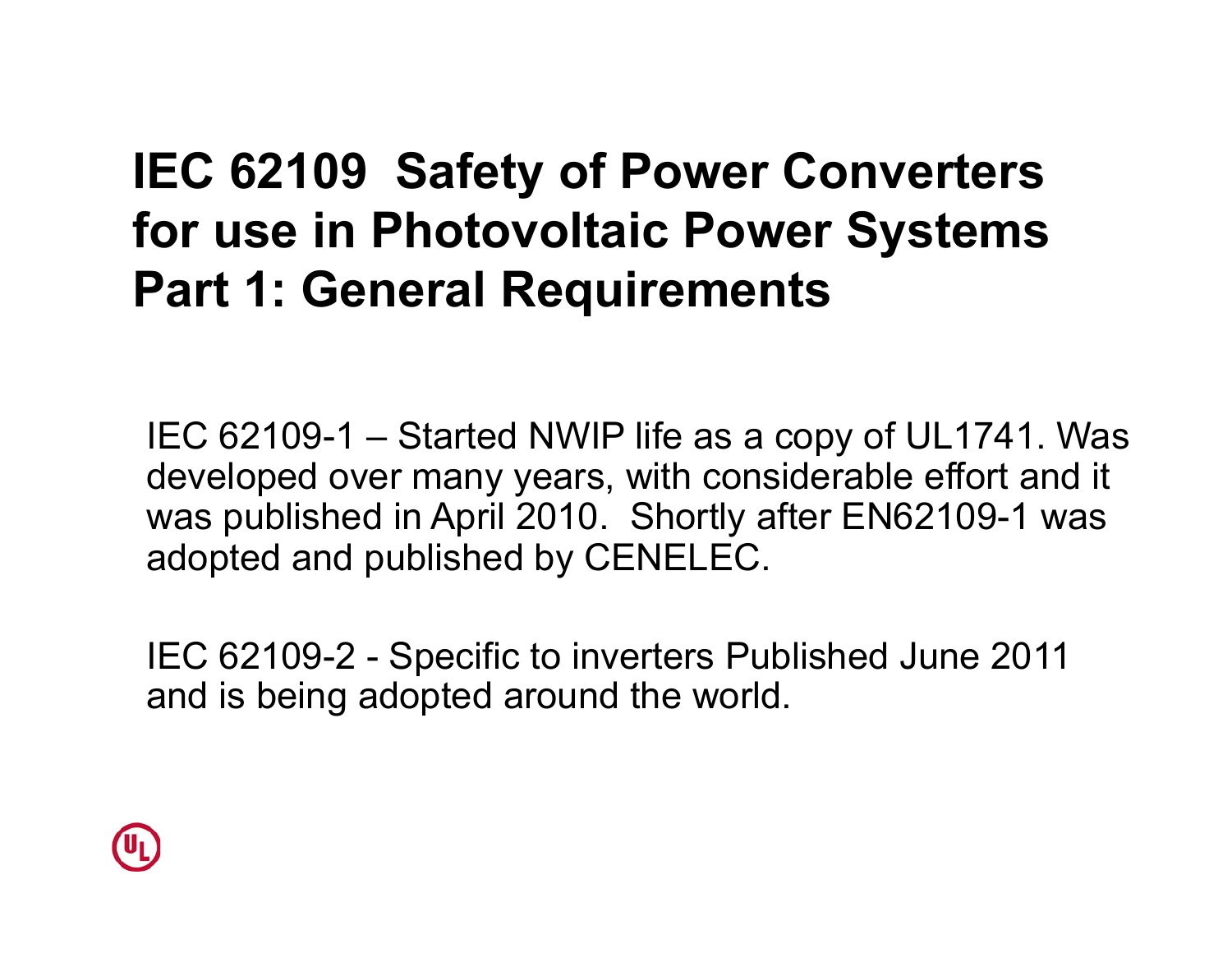### **IEC 62109 Safety of Power Converters for use in Photovoltaic Power Systems Part 1: General Requirements**

IEC 62109-1 – Started NWIP life as a copy of UL1741. Was developed over many years, with considerable effort and it was published in April 2010. Shortly after EN62109-1 was adopted and published by CENELEC.

IEC 62109-2 - Specific to inverters Published June 2011 and is being adopted around the world.

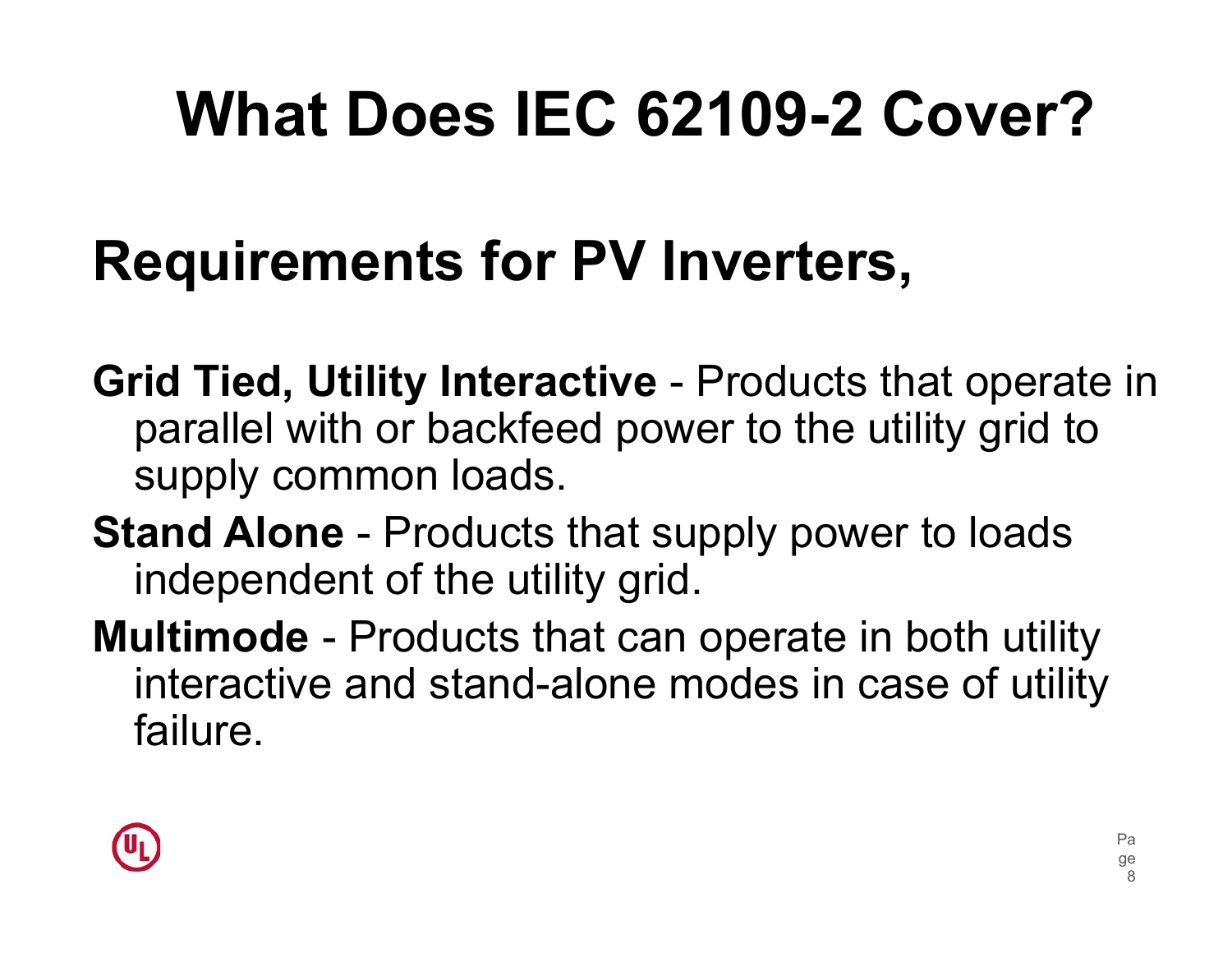# **What Does IEC 62109-2 Cover?**

### **Requirements for PV Inverters,**

- **Grid Tied, Utility Interactive** Products that operate in parallel with or backfeed power to the utility grid to supply common loads.
- **Stand Alone** Products that supply power to loads independent of the utility grid.
- **Multimode** Products that can operate in both utility interactive and stand-alone modes in case of utility failure.

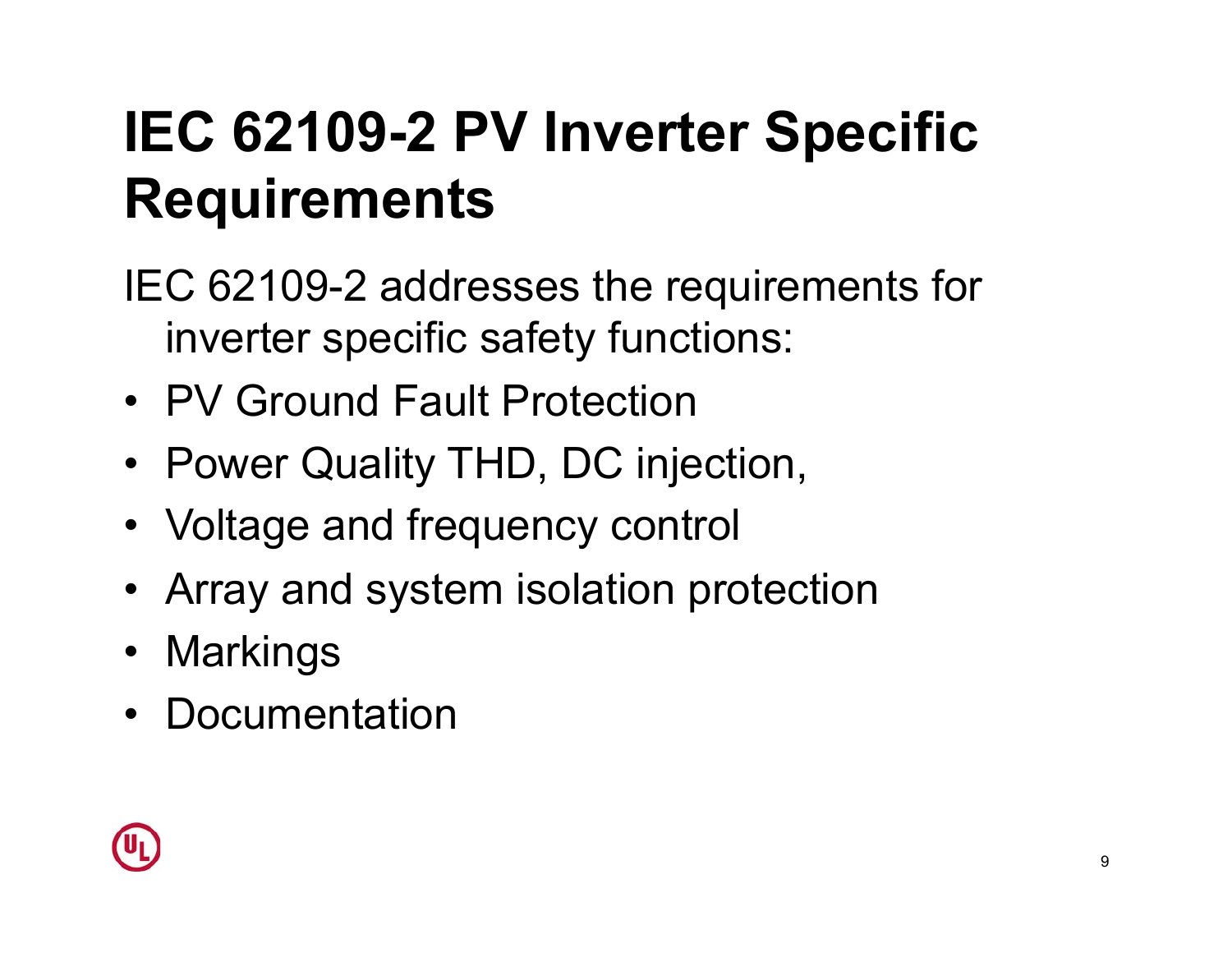### **IEC 62109-2 PV Inverter Specific Requirements**

IEC 62109-2 addresses the requirements for inverter specific safety functions:

- PV Ground Fault Protection
- Power Quality THD, DC injection,
- Voltage and frequency control
- Array and system isolation protection
- Markings
- Documentation

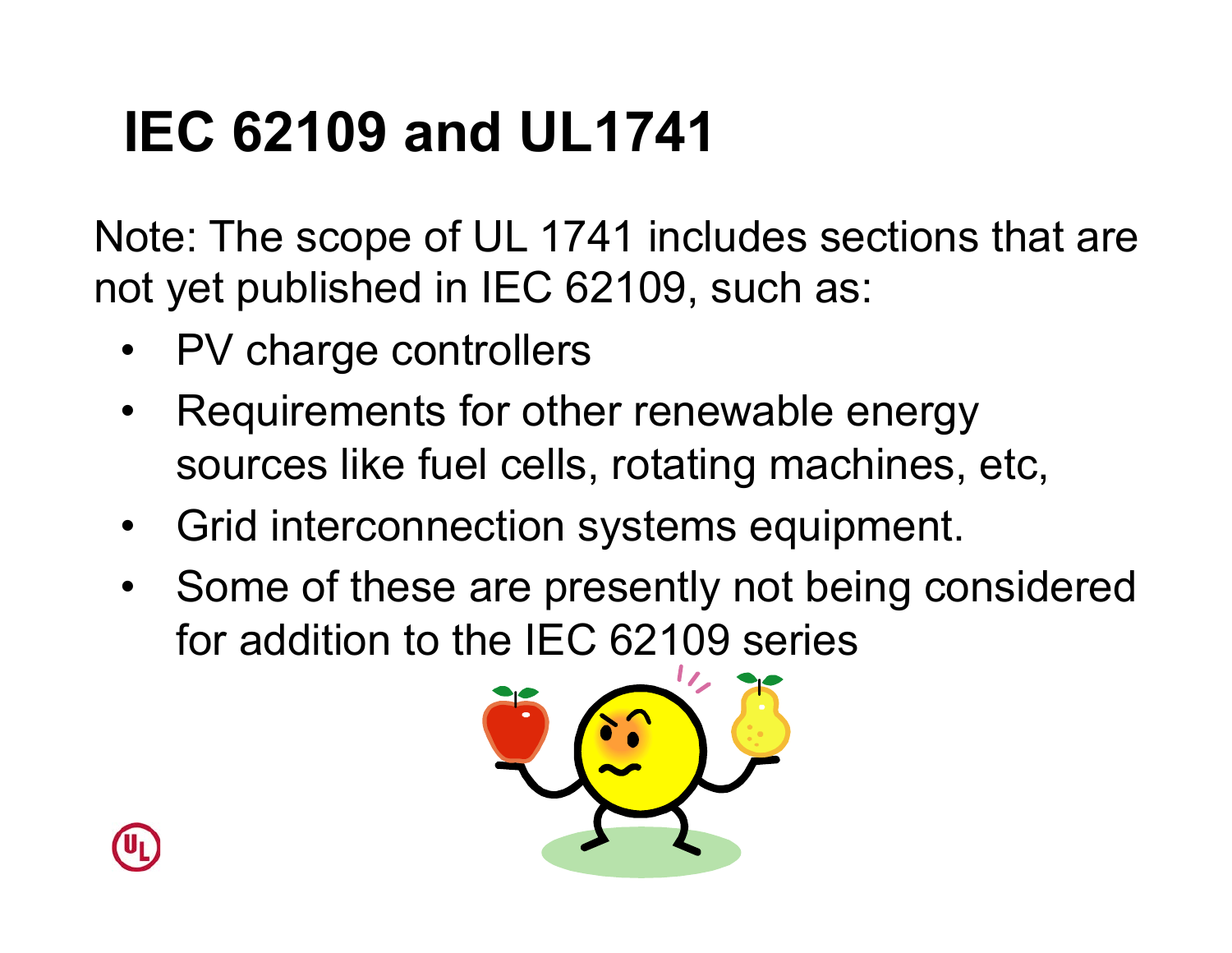### **IEC 62109 and UL1741**

Note: The scope of UL 1741 includes sections that are not yet published in IEC 62109, such as:

- PV charge controllers
- Requirements for other renewable energy sources like fuel cells, rotating machines, etc,
- Grid interconnection systems equipment.
- Some of these are presently not being considered for addition to the IEC 62109 series



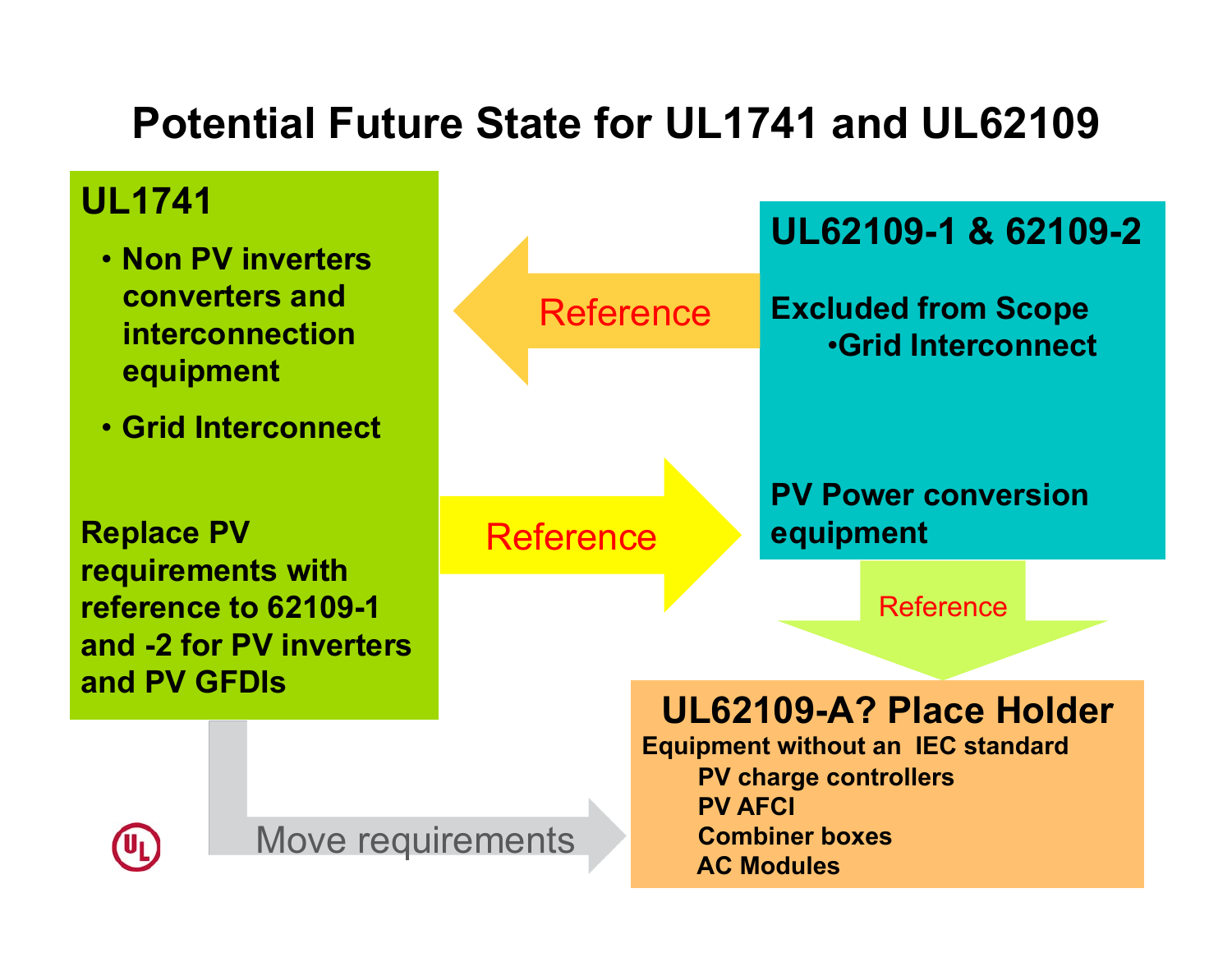### **Potential Future State for UL1741 and UL62109**

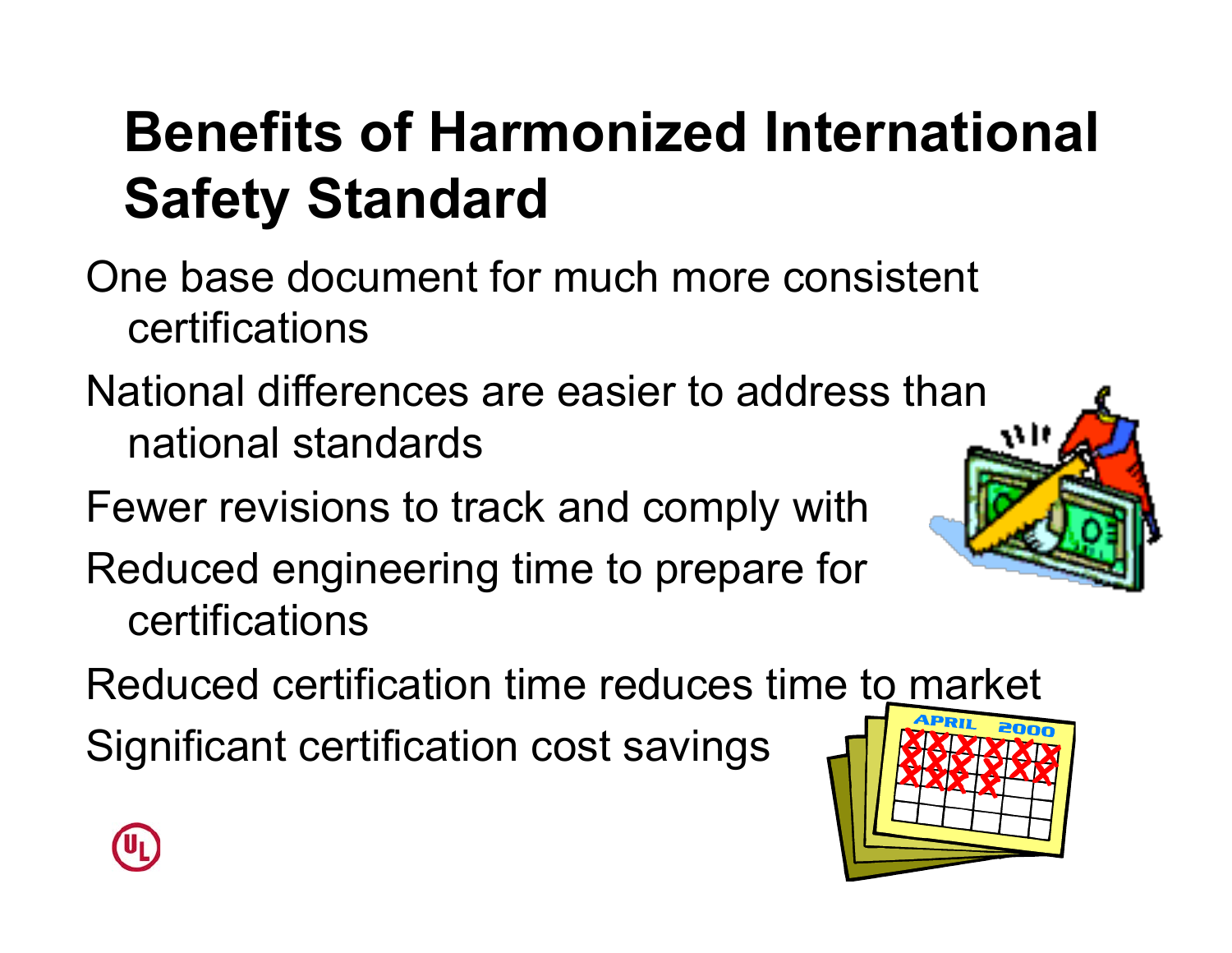### **Benefits of Harmonized International Safety Standard**

One base document for much more consistent certifications

National differences are easier to address than 11 It national standards

Fewer revisions to track and comply with

Reduced engineering time to prepare for certifications

Reduced certification time reduces time to market

Significant certification cost savings



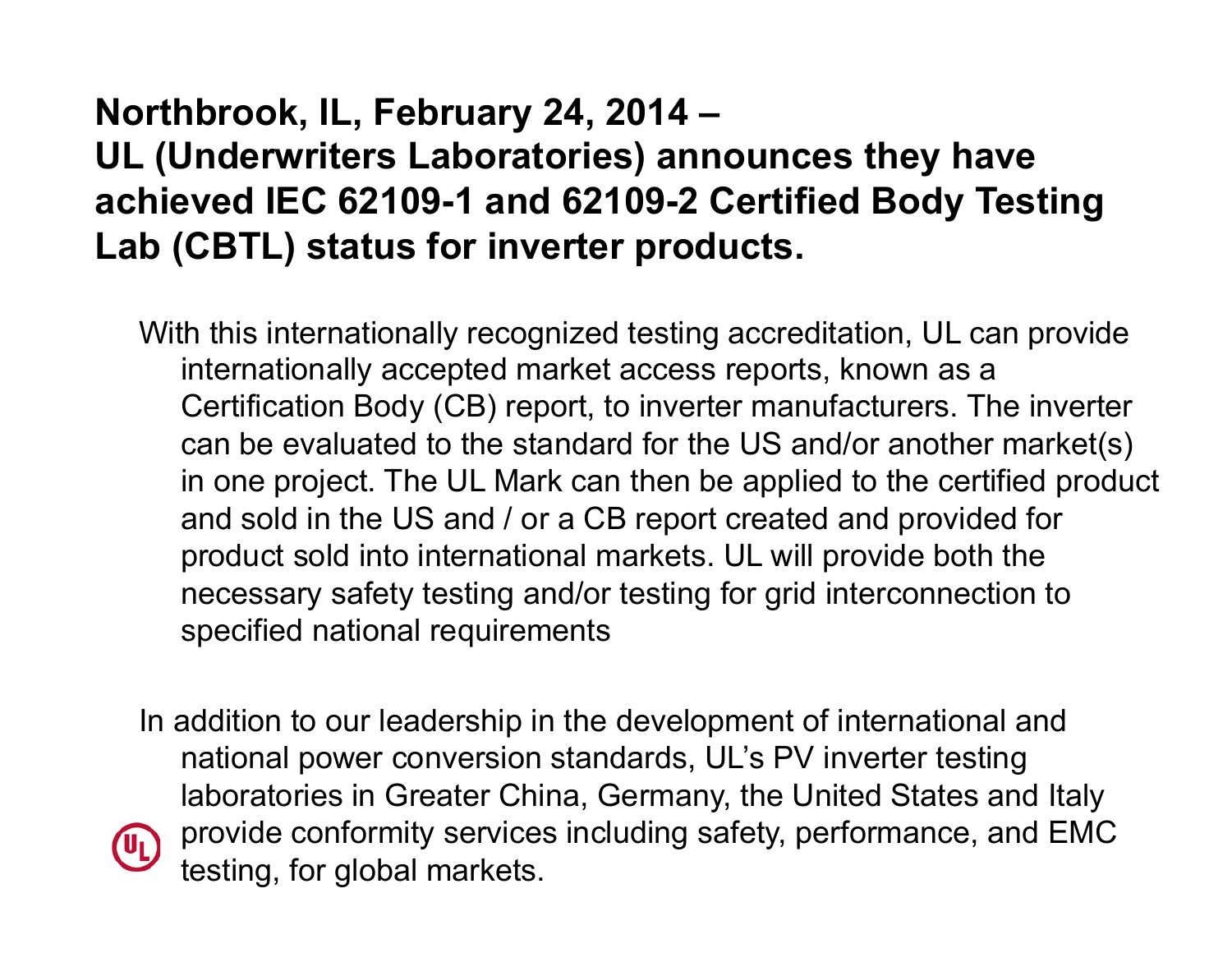#### **Northbrook, IL, February 24, 2014 – UL (Underwriters Laboratories) announces they have achieved IEC 62109-1 and 62109-2 Certified Body Testing Lab (CBTL) status for inverter products.**

With this internationally recognized testing accreditation, UL can provide internationally accepted market access reports, known as a Certification Body (CB) report, to inverter manufacturers. The inverter can be evaluated to the standard for the US and/or another market(s) in one project. The UL Mark can then be applied to the certified product and sold in the US and / or a CB report created and provided for product sold into international markets. UL will provide both the necessary safety testing and/or testing for grid interconnection to specified national requirements

In addition to our leadership in the development of international and national power conversion standards, UL's PV inverter testing laboratories in Greater China, Germany, the United States and Italy provide conformity services including safety, performance, and EMC  $\left( 0_{L}\right)$ testing, for global markets.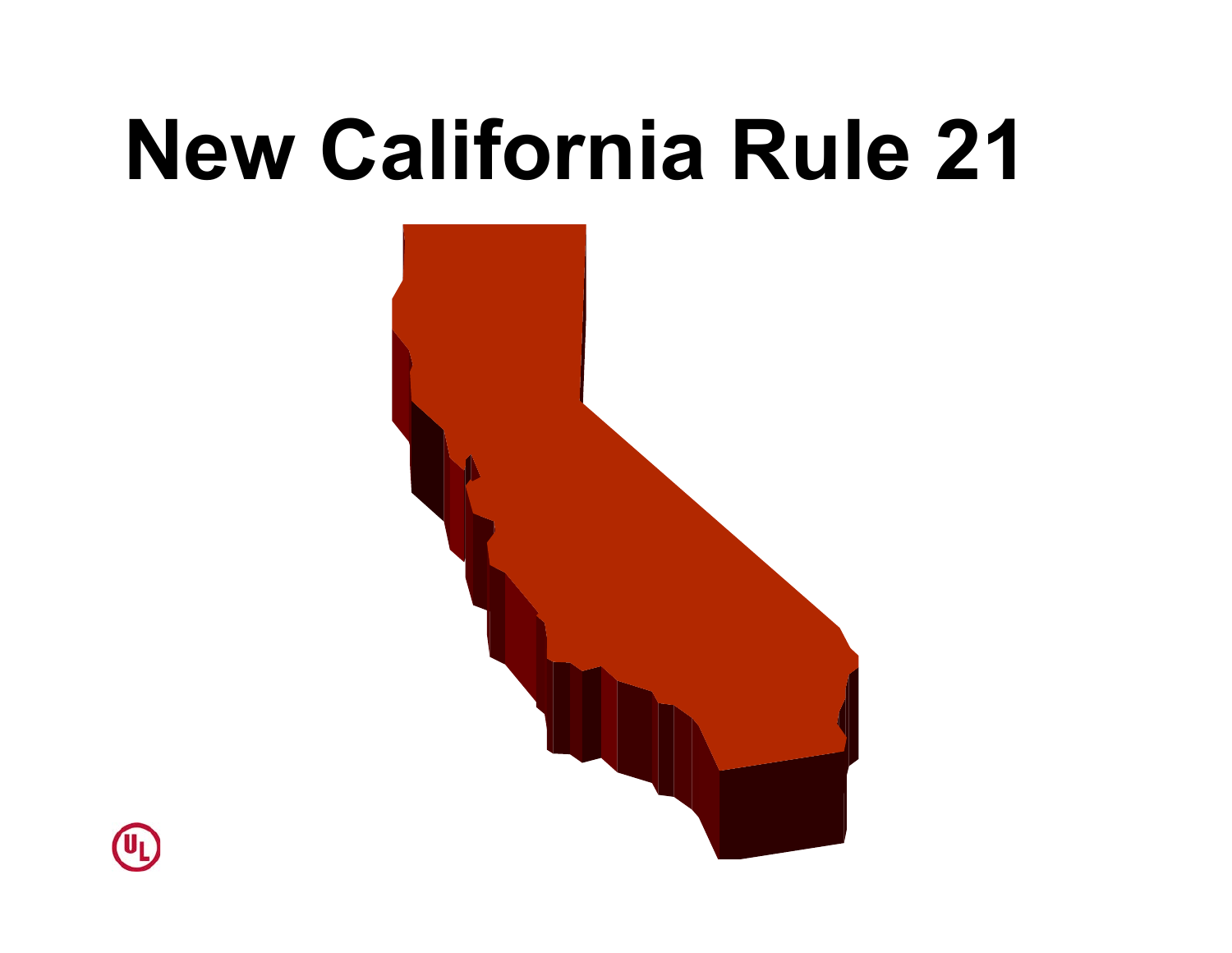# **New California Rule 21**



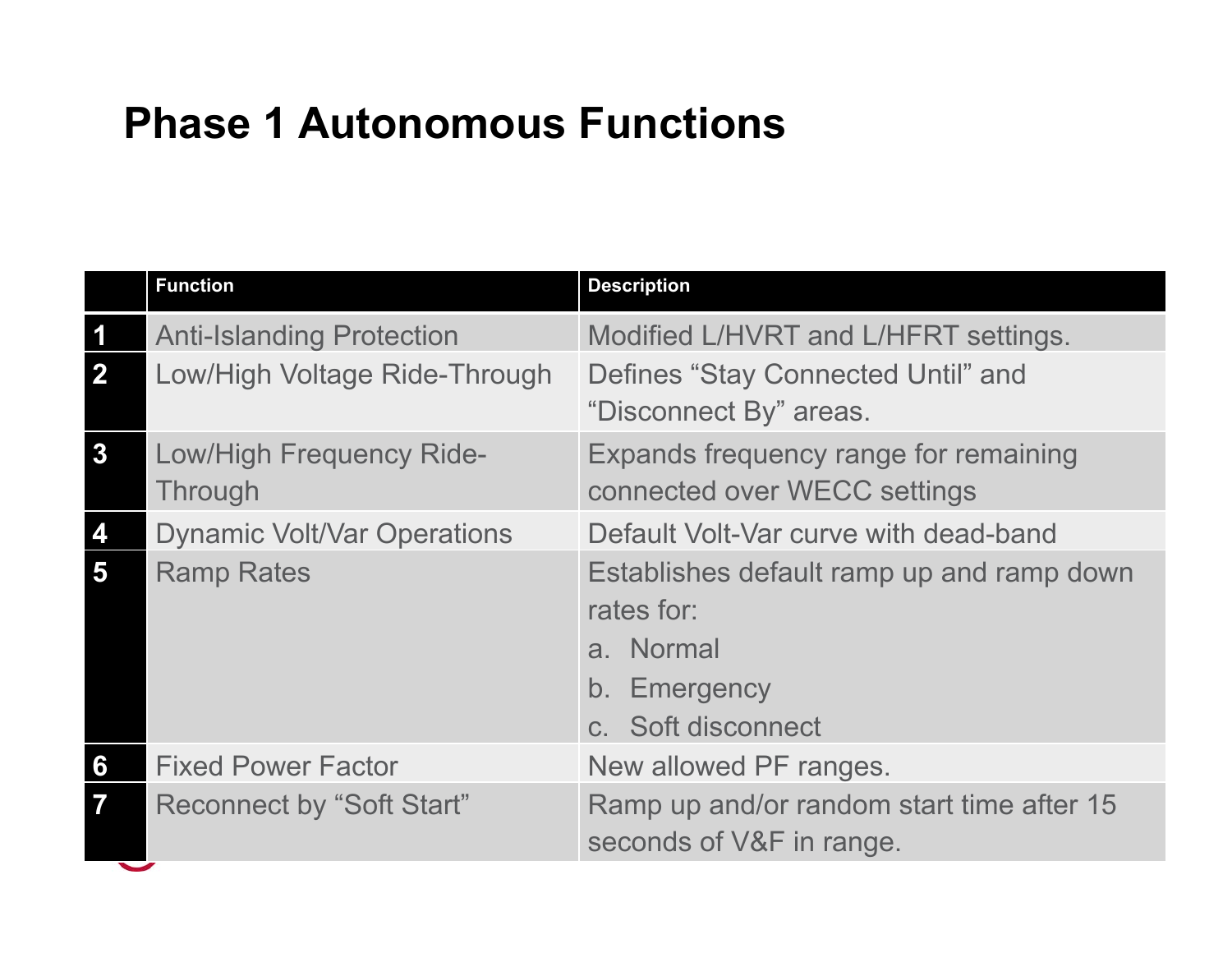#### **Phase 1 Autonomous Functions**

|                         | <b>Function</b>                                   | <b>Description</b>                                                                                         |  |
|-------------------------|---------------------------------------------------|------------------------------------------------------------------------------------------------------------|--|
| 1                       | <b>Anti-Islanding Protection</b>                  | Modified L/HVRT and L/HFRT settings.                                                                       |  |
| $\mathbf{2}$            | Low/High Voltage Ride-Through                     | Defines "Stay Connected Until" and<br>"Disconnect By" areas.                                               |  |
| $\mathbf{3}$            | <b>Low/High Frequency Ride-</b><br><b>Through</b> | Expands frequency range for remaining<br>connected over WECC settings                                      |  |
| 4                       | <b>Dynamic Volt/Var Operations</b>                | Default Volt-Var curve with dead-band                                                                      |  |
| 5                       | <b>Ramp Rates</b>                                 | Establishes default ramp up and ramp down<br>rates for:<br>a. Normal<br>b. Emergency<br>c. Soft disconnect |  |
| 6                       | <b>Fixed Power Factor</b>                         | New allowed PF ranges.                                                                                     |  |
| $\overline{\mathbf{7}}$ | <b>Reconnect by "Soft Start"</b>                  | Ramp up and/or random start time after 15<br>seconds of V&F in range.                                      |  |
|                         |                                                   |                                                                                                            |  |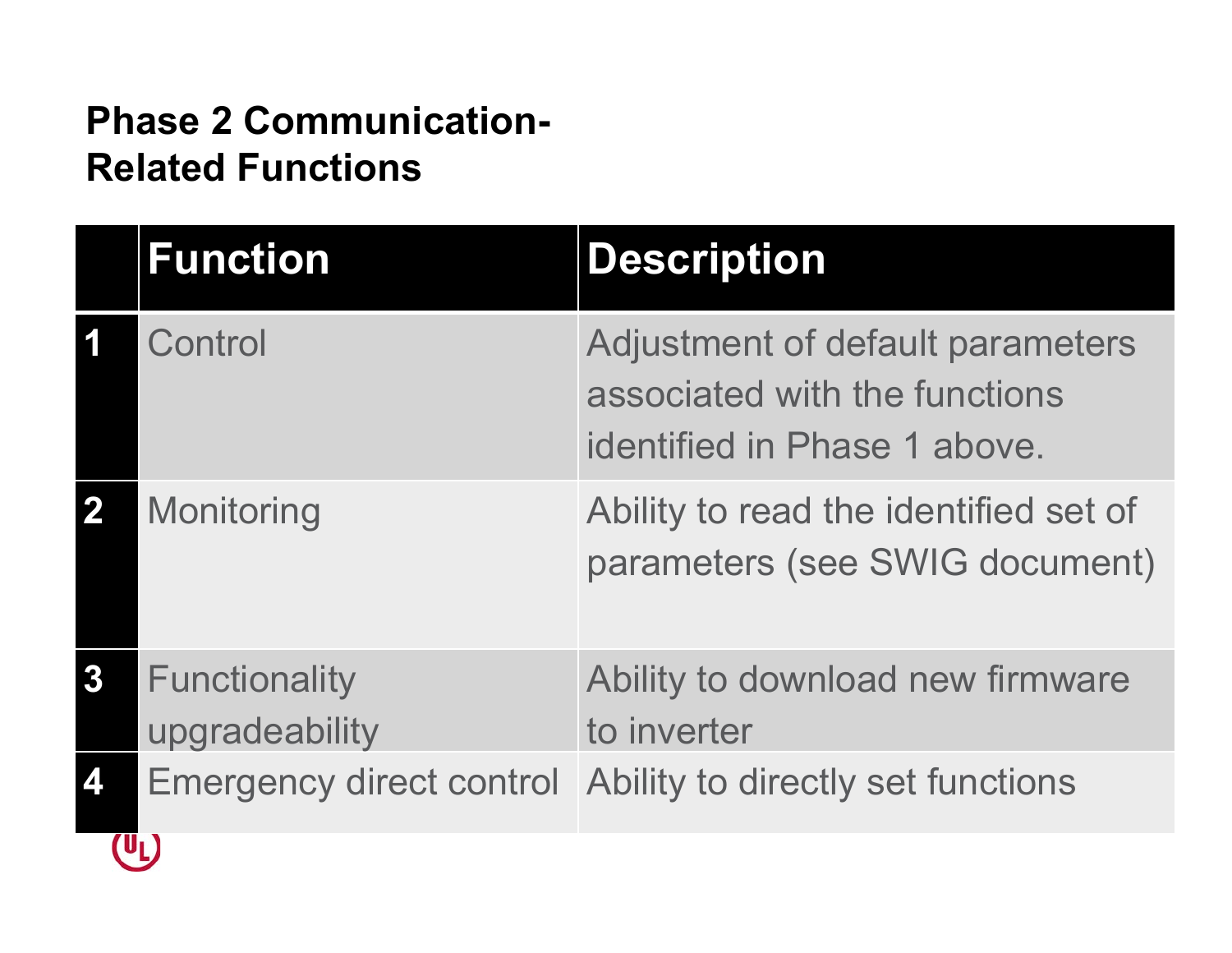#### **Phase 2 Communication-Related Functions**

|                  | <b>Function</b>                        | <b>Description</b>                                                                                |
|------------------|----------------------------------------|---------------------------------------------------------------------------------------------------|
|                  | Control                                | Adjustment of default parameters<br>associated with the functions<br>identified in Phase 1 above. |
| $\mathbf 2$      | Monitoring                             | Ability to read the identified set of<br>parameters (see SWIG document)                           |
| $\boldsymbol{3}$ | <b>Functionality</b><br>upgradeability | Ability to download new firmware<br>to inverter                                                   |
| 4                | <b>Emergency direct control</b>        | Ability to directly set functions                                                                 |
|                  |                                        |                                                                                                   |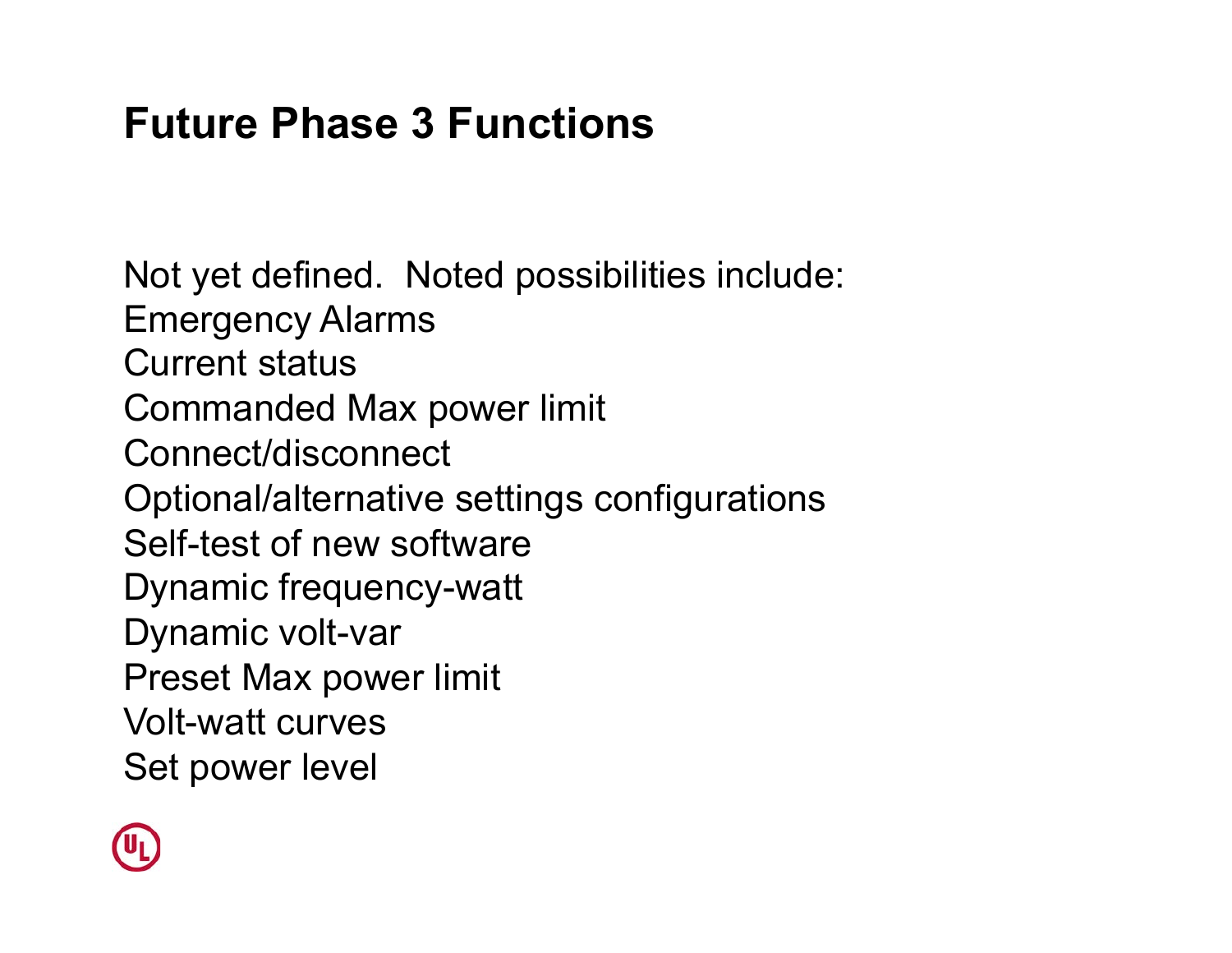#### **Future Phase 3 Functions**

Not yet defined. Noted possibilities include: Emergency Alarms Current status Commanded Max power limit Connect/disconnect Optional/alternative settings configurations Self-test of new software Dynamic frequency-watt Dynamic volt-var Preset Max power limit Volt-watt curves Set power level

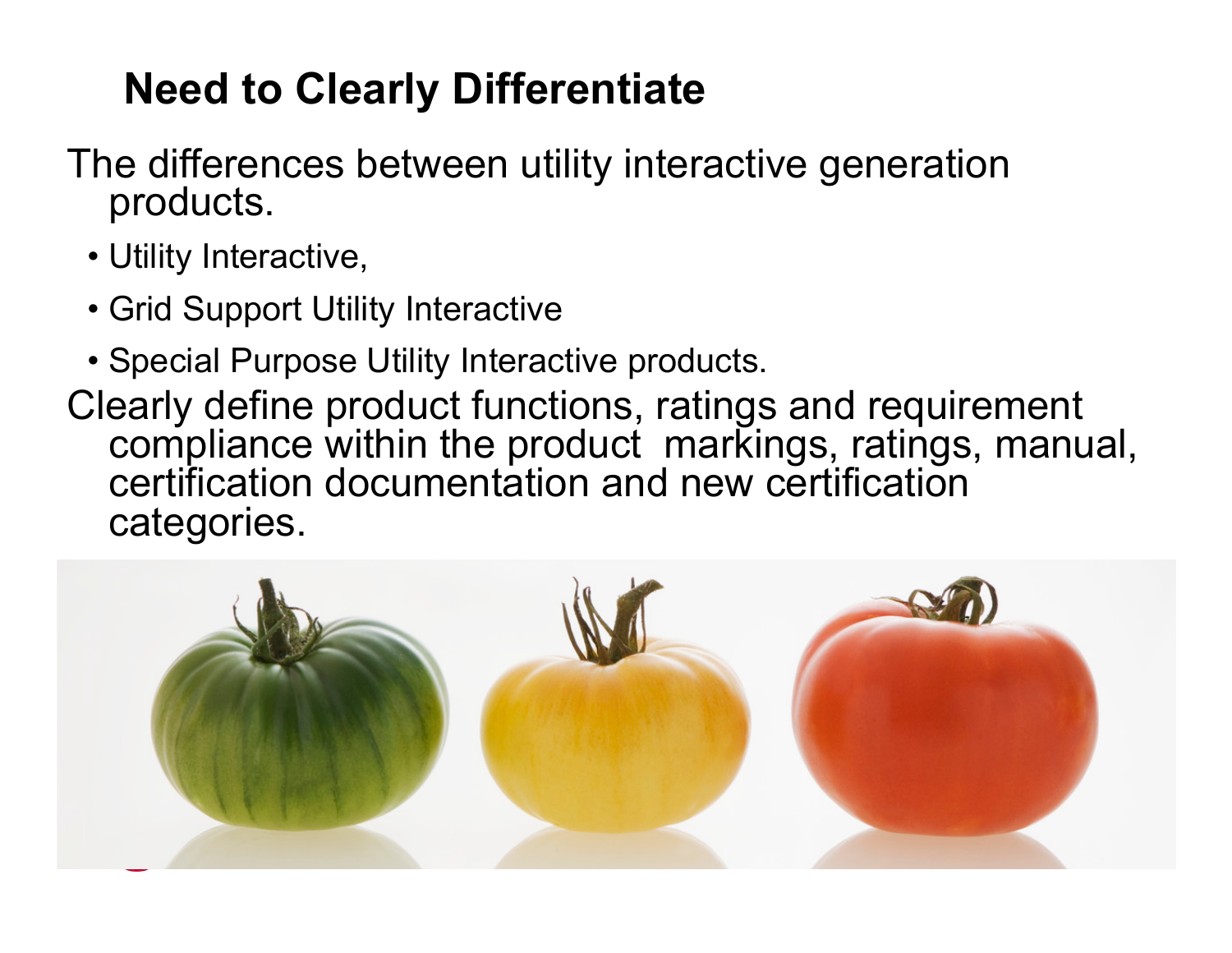### **Need to Clearly Differentiate**

- The differences between utility interactive generation products.
	- Utility Interactive,
	- Grid Support Utility Interactive
	- Special Purpose Utility Interactive products.
- Clearly define product functions, ratings and requirement compliance within the product markings, ratings, manual, certification documentation and new certification categories.

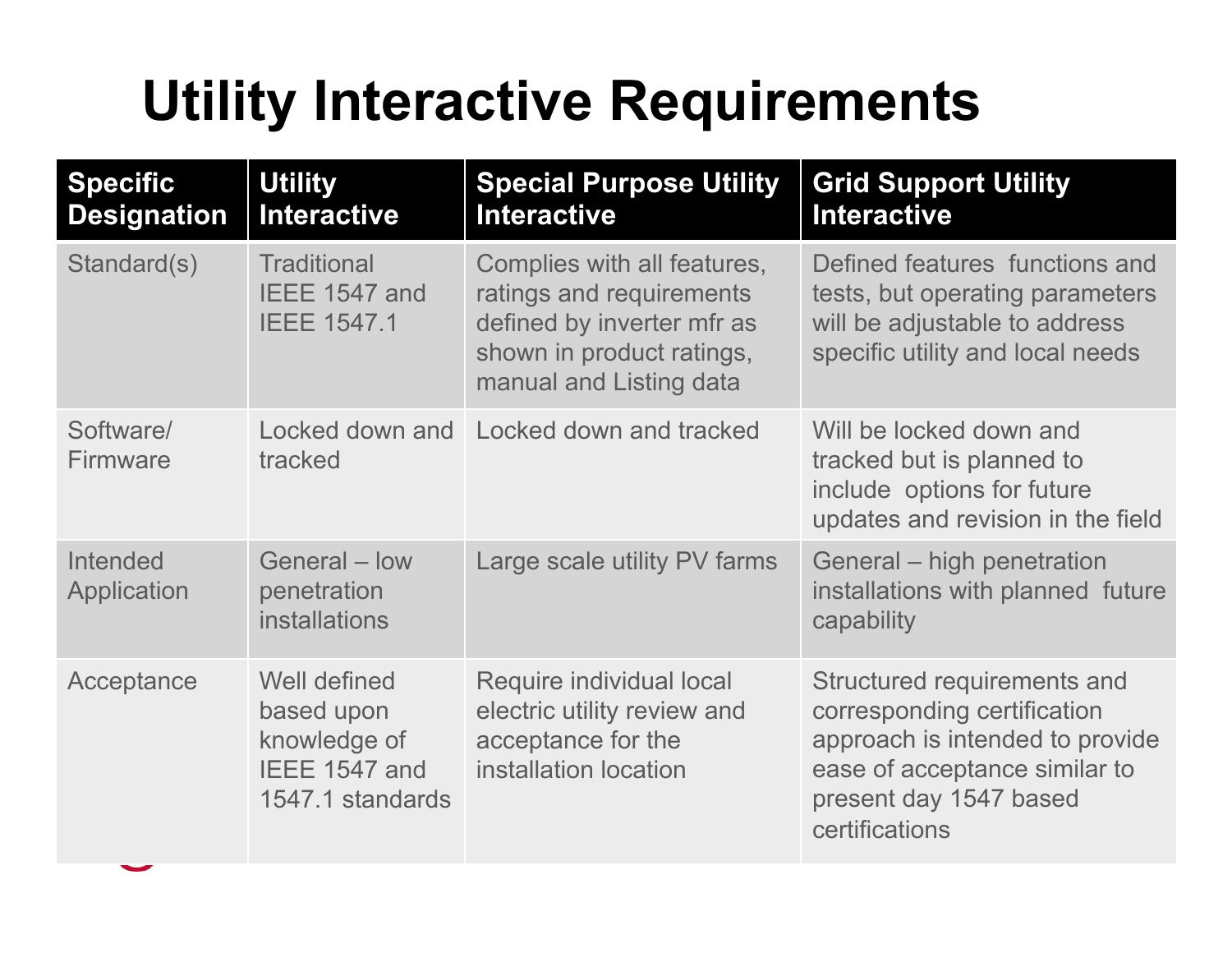### **Utility Interactive Requirements**

| <b>Specific</b><br><b>Designation</b> | <b>Utility</b><br><b>Interactive</b>                                            | <b>Special Purpose Utility</b><br><b>Interactive</b>                                                                                          | <b>Grid Support Utility</b><br><b>Interactive</b>                                                                                                                          |
|---------------------------------------|---------------------------------------------------------------------------------|-----------------------------------------------------------------------------------------------------------------------------------------------|----------------------------------------------------------------------------------------------------------------------------------------------------------------------------|
| Standard(s)                           | <b>Traditional</b><br>IEEE 1547 and<br><b>IEEE 1547.1</b>                       | Complies with all features,<br>ratings and requirements<br>defined by inverter mfr as<br>shown in product ratings,<br>manual and Listing data | Defined features functions and<br>tests, but operating parameters<br>will be adjustable to address<br>specific utility and local needs                                     |
| Software/<br>Firmware                 | tracked                                                                         | Locked down and Locked down and tracked                                                                                                       | Will be locked down and<br>tracked but is planned to<br>include options for future<br>updates and revision in the field                                                    |
| Intended<br>Application               | General - low<br>penetration<br><b>installations</b>                            | Large scale utility PV farms                                                                                                                  | General – high penetration<br>installations with planned future<br>capability                                                                                              |
| Acceptance                            | Well defined<br>based upon<br>knowledge of<br>IEEE 1547 and<br>1547.1 standards | Require individual local<br>electric utility review and<br>acceptance for the<br>installation location                                        | Structured requirements and<br>corresponding certification<br>approach is intended to provide<br>ease of acceptance similar to<br>present day 1547 based<br>certifications |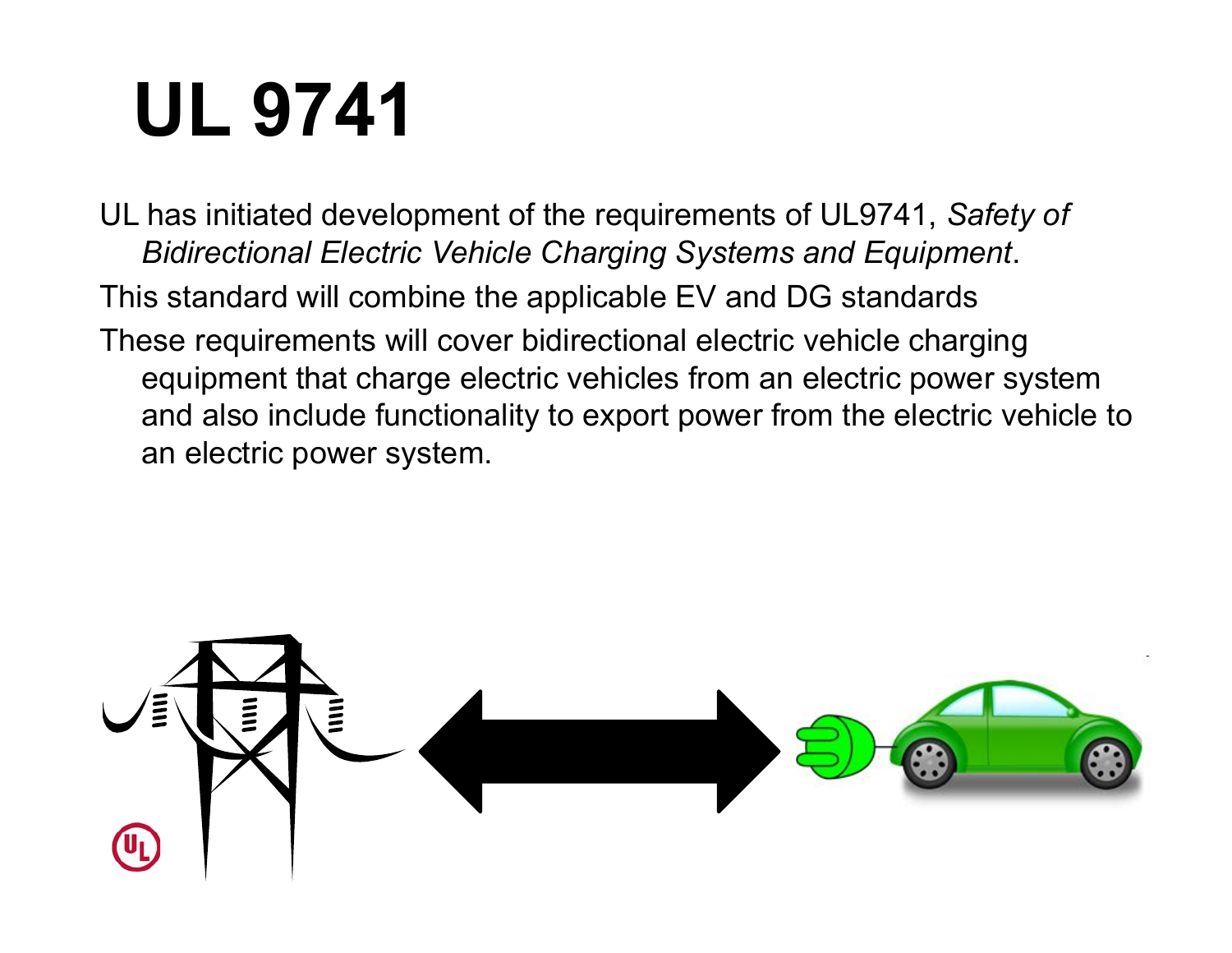# **UL 9741**

UL has initiated development of the requirements of UL9741, *Safety of Bidirectional Electric Vehicle Charging Systems and Equipment*. This standard will combine the applicable EV and DG standards These requirements will cover bidirectional electric vehicle charging equipment that charge electric vehicles from an electric power system and also include functionality to export power from the electric vehicle to an electric power system.